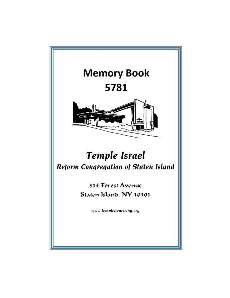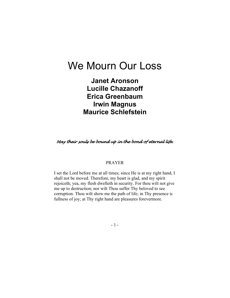# We Mourn Our Loss

Janet Aronson Lucille Chazanoff Erica Greenbaum Irwin Magnus Maurice Schlefstein

May their souls be bound up in the bond of eternal life.

### PRAYER

I set the Lord before me at all times; since He is at my right hand, I shall not be moved. Therefore, my heart is glad, and my spirit rejoiceth; yea, my flesh dwelleth in security. For thou wilt not give me up to destruction; nor wilt Thou suffer Thy beloved to see corruption. Thou wilt show me the path of life; in Thy presence is fullness of joy; at Thy right hand are pleasures forevermore.

- 1 -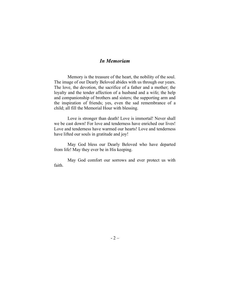### In Memoriam

Memory is the treasure of the heart, the nobility of the soul. The image of our Dearly Beloved abides with us through our years. The love, the devotion, the sacrifice of a father and a mother; the loyalty and the tender affection of a husband and a wife; the help and companionship of brothers and sisters; the supporting arm and the inspiration of friends; yes, even the sad remembrance of a child; all fill the Memorial Hour with blessing.

Love is stronger than death! Love is immortal! Never shall we be cast down! For love and tenderness have enriched our lives! Love and tenderness have warmed our hearts! Love and tenderness have lifted our souls in gratitude and joy!

May God bless our Dearly Beloved who have departed from life! May they ever be in His keeping.

May God comfort our sorrows and ever protect us with faith.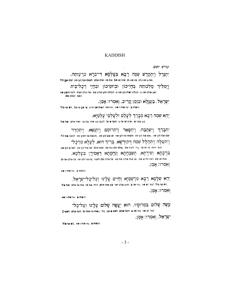### KADDISH

קדיש יתום

יִתְנַדֵּל וְיִתְקַדַּשׁ שְׁמֵהּ רַבָּא בְּעָלְמָא דִּי־בְרָא כִרְעוּתַהּ, Yit-ga-dal ve-yit-ka-dash she-mei ra-ba be-al-ma di-ve-ra chi-re-u-tei,

וְיַמְלִיךְ מַלְכוּתַהּ בְּחַיֵּיכוֹן וּבְיוֹמֵיכוֹן וּבְחָיֵי דְכָל־בֵּית ve-yam-lich mal-chu-tei be-cha-yei-chon u-ve-yo-mei-chon u-ve-cha-yei de-chol beit

יִשְׂרָאַל, בַּעֲנָלָא וּבִזְמַן קָרִיב, וְאִמְרוּ: אָמַן. Yis-ra-eil, ba-a-ga-la u-vi-ze-man ka-riv, ve-i-me-ru: a-mein

יְהֵא שְׁמַהּ רַבָּא מְבָרַךְ לְעָלַם וּלְעָלְמַי עָלְמַיָּא.

Ye-hei she-mei ra-ba me-va-rach le-a-lam u-le-al-mei al-ma-ya

יִתְבָּרַךְ וְיִשְׁתַּבָּה, וְיִתְפָּאֵר וְיִתְרוֹמֵם וְיִתְנַשֵּׂא, וְיִתְהַדֵּר Yit-ba-rach ve-yish-ta-bach, ve-yit-pa-ar ve-yit-ro-mam ve-yit-na-sei, ve-yit-ha-dai וְיִתְעַלֶּה וְיִתְהַלֵּל שְׁמֵהּ דְּקוּדְשָׁא, בְּרִיךָ הוּא, לְעֲלָּא מִרְכָּל־

ve-yit-a-leh ve-yit-ha-lal she-mei de-ku-de-sha, be-rich hu, le-ei-la min kol

בִּרְכָתָא וְשִׁירָתָא, תֻּשְׁבְּחָתָא וְנֶחֱמָתָא דַּאֲמִירָן בְּעָלְמָא, bi-re-cha-tal ve-shi-ra-ta, tush-be-cha-tal ve-ne-che-ma-ta, da-a-mi-ran be-al-ma וְאִמְרוּ: אָמֶן.

ve-i-me-ru: a-mein.

יְהֵא שְׁלָמָא רַבָּא מִרְשְׁמַיָּא וְחַיִּים עָלֵינוּ וְעַל־כָל־יְשְׂרָאֵל, Ye-hei she-la-ma ra-ba min she-ma-ya ve-cha-yim a-lei-nu ve-al kol Yis-ra-eil, וְאִמְרוּ: אָמַן.

veri-me-ru: a-mein.

עַשָּׂה שָׁלוֹם בִּמְרוֹמָיו, הוּא יַעֲשָׂה שָׁלוֹם עָלֵינוּ וְעַל־כָל־ O-seh sha-lom bi-me-ro-may, hu ya-a-seh sha-lom a-lei-nu ve-al kol יִשְׂרָאֲל, וְאִמְרוּ: אָמָן.

Yis-ra-eil, ve-i-me-ru: a-mein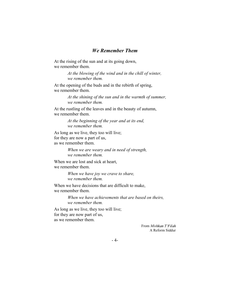### We Remember Them

At the rising of the sun and at its going down, we remember them.

> At the blowing of the wind and in the chill of winter, we remember them.

At the opening of the buds and in the rebirth of spring, we remember them.

> At the shining of the sun and in the warmth of summer, we remember them.

At the rustling of the leaves and in the beauty of autumn, we remember them.

> At the beginning of the year and at its end, we remember them.

As long as we live, they too will live; for they are now a part of us, as we remember them.

> When we are weary and in need of strength, we remember them.

When we are lost and sick at heart, we remember them.

> When we have joy we crave to share, we remember them.

When we have decisions that are difficult to make, we remember them.

> When we have achievements that are based on theirs, we remember them.

As long as we live, they too will live; for they are now part of us, as we remember them.

> From Mishkan T'Filah A Reform Siddur

- 4-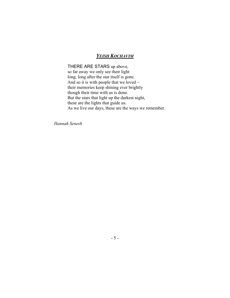### YEISH KOCHAVIM

THERE ARE STARS up above, so far away we only see their light long, long after the star itself is gone. And so it is with people that we loved their memories keep shining ever brightly though their time with us is done. But the stars that light up the darkest night, these are the lights that guide us. As we live our days, these are the ways we remember.

Hannah Senesh

- 5 -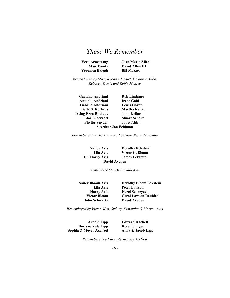| <b>Vera Armstrong</b> |  |
|-----------------------|--|
| Alan Trontz           |  |
| Veronica Balogh       |  |

Joan Marie Allen David Allen III **Bill Mazzeo** 

Remembered by Mike, Rhonda, Daniel & Connor Allen, Rebecca Trontz and Robin Mazzeo

Gaetano Andriani Rob Lindauer Antonia Andriani Irene Gold Isabella Andriani Lewis Gover Betty S. Rothaus Martha Kellar Irving Ezra Rothaus John Kellar Joel Chernoff Stuart Schorr Phyliss Snyder Janet Abby \* Arthur Jon Feldman

Remembered by The Andriani, Feldman, Kilbride Family

Nancy Avis Dorothy Eckstein Lila Avis Victor G. Bloom Dr. Harry Avis James Eckstein David Avchen

Remembered by Dr. Ronald Avis

John Schwartz David Avchen

Nancy Bloom Avis Dorothy Bloom Eckstein Lila Avis Peter Lawson Harry Avis Hazel Schreyach Victor Bloom Carol Lawson Rouhier

Remembered by Victor, Kim, Sydney, Samantha & Morgan Avis

Doris & Yale Lipp Rose Polinger Sophia & Meyer Axelrod Anna & Jacob Lipp

Arnold Lipp Edward Hackett

Remembered by Eileen & Stephan Axelrod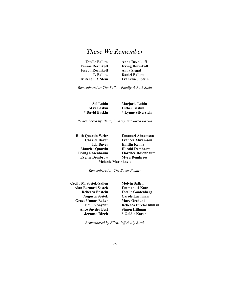| <b>Anna Reznikoff</b>    |
|--------------------------|
| <b>Irving Reznikoff</b>  |
| <b>Anna Siegal</b>       |
| <b>Daniel Ballow</b>     |
| <b>Franklin J. Stein</b> |
|                          |

Remembered by The Ballow Family & Ruth Stein

| <b>Sol Lubin</b>  | <b>Marjorie Lubin</b> |
|-------------------|-----------------------|
| <b>Max Baskin</b> | <b>Esther Baskin</b>  |
| * David Baskin    | * Lynne Silverstein   |

Remembered by Alicia, Lindsey and Jared Baskin

| Ruth Ouartin Weitz        | <b>Emanuel Abramson</b>   |
|---------------------------|---------------------------|
| <b>Charles Baver</b>      | <b>Frances Abramson</b>   |
| Ida Baver                 | Kaitlin Kenny             |
| <b>Maurice Quartin</b>    | <b>Harold Dembrow</b>     |
| <b>Irving Rosenbaum</b>   | <b>Florence Rosenbaum</b> |
| <b>Evelyn Dembrow</b>     | <b>Myra Dembrow</b>       |
| <b>Melanie Marinkovic</b> |                           |

Remembered by The Baver Family

Cecily M. Sostek-Sallen Melvin Sallen Alan Bernard Sostek Emmanuel Katz Grace Umans Baker Marc Orchant<br>
Phillip Snyder Rebecca Birch-Alice Snyder Best Jerome Birch \* Goldie Karan

Rebecca Epstein Estelle Gootenberg Augusta Sostek Carole Lachman Rebecca Birch-Hillman<br>Simon Hillman

Remembered by Ellen, Jeff & Aly Birch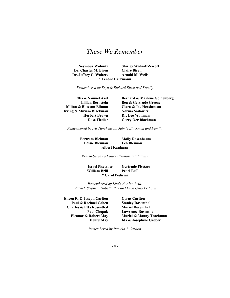Seymour Wolinitz Shirley Wolinitz-Sacoff Dr. Charles M. Biren Claire Biren Dr. Jeffrey C. Walters Arnold M. Wells \* Lenore Herrmann

Remembered by Bryn & Richard Biren and Family

Milton & Blossom Elfman Clara & Joe Hershenson Irving & Miriam Blackman Norma Sadowitz

Etka & Samuel Axel Bernard & Marlene Goldenberg Lillian Bernstein Ben & Gertrude Greene Herbert Brown Dr. Leo Wollman Rose Fiedler Gerry Oer Blackman

Remembered by Iris Hershenson, Jaimie Blackman and Family

Bertram Bleiman Molly Rosenbaum Bessie Bleiman Leo Bleiman Albert Kaufman

Remembered by Claire Bleiman and Family

Israel Pisetzner Gertrude Pisetzer William Brill Pearl Brill \* Carol Pedicini

Remembered by Linda & Alan Brill, Rachel, Stephen, Isabella Rae and Luca Gray Pedicini

Eileen R. & Joseph Carlton Cyrus Carlton Paul & Rachael Cohen Stanley Rosenthal Charles & Etta Rosenthal Muriel Rosenthal

Paul Chopak Lawrence Rosenthal Eleanor & Robert May Muriel & Manny Trachman Henry May Ida & Josephine Grober

Remembered by Pamela J. Carlton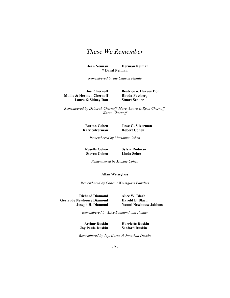Jean Neiman Herman Neiman \* Daral Neiman

Remembered by the Chason Family

**Mollie & Herman Chernoff** Rhoda Fassberg<br>
Laura & Sidney Don Stuart Schorr Laura & Sidney Don

Joel Chernoff Beatrice & Harvey Don

Remembered by Deborah Chernoff, Marc, Laura & Ryan Chernoff, Karen Chernoff

Katy Silverman Robert Cohen

Burton Cohen Jesse G. Silverman

Remembered by Marianne Cohen

**Steven Cohen** 

Rosella Cohen Sylvia Rodman<br>Steven Cohen Linda Scher

Remembered by Maxine Cohen

#### Allan Weissglass

Remembered by Cohen / Weissglass Families

Richard Diamond Alice W. Blach Gertrude Newhouse Diamond Harold B. Blach

Joseph H. Diamond Naomi Newhouse Jablons

Remembered by Alice Diamond and Family

Joy Paula Duskin

Arthur Duskin Barriette Duskin<br>
1988 v Paula Duskin Sanford Duskin

Remembered by Jay, Karen & Jonathan Duskin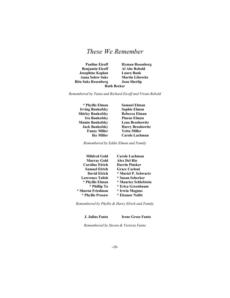| <b>Pauline Eicoff</b>      | <b>Hyman Rosenberg</b> |
|----------------------------|------------------------|
| <b>Benjamin Eicoff</b>     | <b>Al Abe Rebold</b>   |
| <b>Josephine Kaplan</b>    | Laura Bank             |
| <b>Anna Solow Saks</b>     | <b>Martin Libowitz</b> |
| <b>Rita Saks Rosenberg</b> | <b>Jean Sherlip</b>    |
| <b>Ruth Becker</b>         |                        |

Remembered by Tania and Richard Eicoff and Vivian Rebold

\* Phyllis Elman Samuel Elman Irving Bankofsky Sophie Elman Shirley Bankofsky Rebecca Elman Ira Bankofsky Pincus Elman Mamie Bankofsky Lena Brashowitz Fanny Miller Yetta Miller

Jack Bankofsky Harry Brashowitz Ike Miller Carole Lachman

Remembered by Eddie Elman and Family

| <b>Mildred Gold</b>    | Carole Lachman        |
|------------------------|-----------------------|
| <b>Murray Gold</b>     | <b>Alex Del Rio</b>   |
| <b>Caroline Elrich</b> | <b>Darrin Pinsker</b> |
| <b>Samuel Elrich</b>   | <b>Grace Carloni</b>  |
| <b>David Elrich</b>    | * Muriel P. Schwartz  |
| <b>Lawrence Talish</b> | * Susan Scherker      |
| * Phyllis Elman        | * Maurice Schlefstein |
| * Phillip To           | * Erica Greenbaum     |
| * Sharon Friedman      | * Irwin Magnus        |
| * Phyllis Prosaw       | * Eleanor Nalitt      |

Remembered by Phyllis & Harry Elrich and Family

J. Julius Fanta Irene Gross Fanta

Remembered by Steven & Victoria Fanta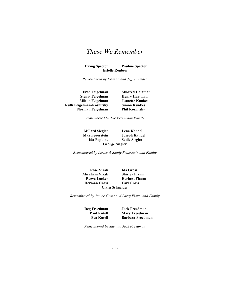Irving Spector Pauline Spector Estelle Reuben

Remembered by Deanna and Jeffrey Feder

Stuart Feigelman Henry Hartman Milton Feigelman Jeanette Kunkes Ruth Feigelman-Kosnitsky Simon Kunkes Norman Feigelman Phil Kosnitsky

Fred Feigelman Mildred Hartman

Remembered by The Feigelman Family

Millard Siegler Lena Kandel Max Feuerstein Joseph Kandel George Siegler

Ida Popkins Sadie Siegler

Remembered by Lester & Sandy Feuerstein and Family

Rose Vizak Ida Gross<br>Abraham Vizak Shirley Fla Reeva Locker Herbert Flaum Herman Gross Earl Gross Clara Schneider

**Shirley Flaum** 

Remembered by Janice Gross and Larry Flaum and Family

Reg Freedman Jack Freedman<br>Paul Kutell Mary Freedman **Mary Freedman** Bea Kutell Barbara Freedman

Remembered by Sue and Jack Freedman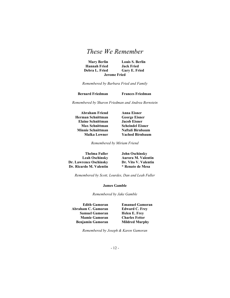| <b>Mary Berlin</b>  | <b>Louis S. Berlin</b> |
|---------------------|------------------------|
| <b>Hannah Fried</b> | <b>Jack Fried</b>      |
| Debra L. Fried      | Gary E. Fried          |
| <b>Jerome Fried</b> |                        |

Remembered by Barbara Fried and Family

Bernard Friedman Frances Friedman

Remembered by Sharon Friedman and Andrea Bernstein

Abraham Friend Anna Eisner Herman Schnittman George Eisner Elaine Schnittman Jacob Eisner Max Schnittman Scheindel Eisner Minnie Schnittman Naftali Birnbaum<br>Malka Lowner Yachod Birnbaum

Yachod Birnbaum

Remembered by Miriam Friend

| <b>Thelma Fuller</b>    | <b>John Oschinsky</b>     |
|-------------------------|---------------------------|
| <b>Leah Oschinsky</b>   | <b>Aurora M. Valentin</b> |
| Dr. Lawrence Oschinsky  | Dr. Vito V. Valentin      |
| Dr. Ricardo M. Valentin | * Renato de Mesa          |

Remembered by Scott, Lourdes, Dan and Leah Fuller

#### James Gamble

Remembered by Jake Gamble

Edith Gamoran Emanuel Gamoran Abraham C. Gamoran Edward C. Frey Samuel Gamoran Helen E. Frey Mamie Gamoran Charles Fetter Benjamin Gamoran Mildred Murphy

Remembered by Joseph & Karen Gamoran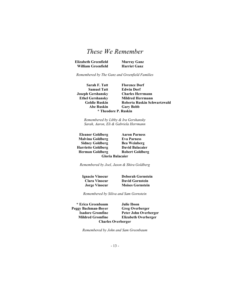| Elizabeth Greenfield      | <b>Murray Ganz</b>  |
|---------------------------|---------------------|
| <b>William Greenfield</b> | <b>Harriet Ganz</b> |

Remembered by The Ganz and Greenfield Families

Sarah F. Tatt Florence Dorf Samuel Tatt **Edwin Dorf** Joseph Gershansky Charles Herrmann Ethel Gershansky Mildred Herrmann Goldie Ruskin Roberta Ruskin Schwartzwald Abe Ruskin Gary Bobb \* Theodore P. Ruskin

Remembered by Libby & Ira Gershansky Sarah, Aaron, Eli & Gabriela Herrmann

Eleanor Goldberg Aaron Parness Malvina Goldberg Eva Parness Sidney Goldberg Bea Weinberg Harriette Goldberg David Balacaier Herman Goldberg Robert Goldberg Gloria Balacaier

Remembered by Joel, Jason & Shira Goldberg

Ignacio Vinocur Deborah Gornstein

Clara Vinocur David Gornstein Jorge Vinocur Moises Gornstein

Remembered by Siliva and Sam Gornstein

\* Erica Greenbaum Julie Ibson Peggy Bachman-Boyer Greg Overberger Charles Overberger

Isadore Gromfine Peter John Overberger **Elizabeth Overberger** 

Remembered by John and Sam Greenbaum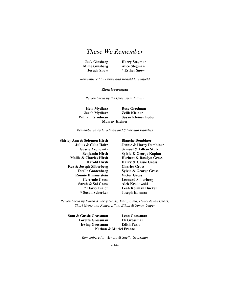| <b>Jack Ginsberg</b>   | <b>Harry Stegman</b> |
|------------------------|----------------------|
| <b>Millie Ginsberg</b> | Alice Stegman        |
| <b>Joseph Snow</b>     | * Esther Snow        |

Harry Stegman \* Esther Snow

Remembered by Penny and Ronald Greenfield

### Rhea Greenspan

Remembered by the Greenspan Family

Hela Mydlarz Rose Grodman Jacob Mydlarz Zelik Kleiner William Grodman Susan Kleiner Fodor Murray Kleiner

Remembered by Grodman and Silverman Families

Shirley Ann & Solomon Hirsh Blanche Dembiner Rea & Joseph Silberberg Charles Gross Ronnie Himmelstein Victor Gross Sarah & Sol Gross Alek Krakowski

Julius & Celia Holtz Jennie & Harry Dembiner Gussie Aronowitz Samuel & Lillian Stutz Benjamin Hirsh Sylvia & George Kaplan Mollie & Charles Hirsh Herbert & Roselyn Gross Harold Hirsh Harry & Cassie Gross Estelle Gootenberg Sylvia & George Gross Gertrude Gross Leonard Silberberg \* Harry Bialor Leah Korman Ducker \* Susan Scherker Joseph Korman

Remembered by Karen & Jerry Gross, Marc, Cara, Henry & Ian Gross, Shari Gross and Renee, Allan. Ethan & Simon Unger

Sam & Gussie Grossman Leon Grossman Loretta Grossman Eli Grossman Irving Grossman Edith Fazio Nathan & Muriel Frantz

Remembered by Arnold & Sheila Grossman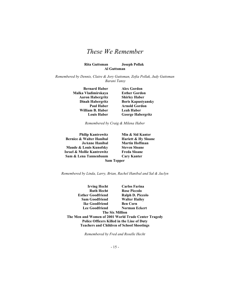#### Rita Guttsman Joseph Pollak Al Guttsman

Remembered by Dennis, Claire & Jory Guttsman, Zofia Pollak, Judy Guttsman Barani Tansy

> Bernard Haber Alex Gordon Malka Vladimirskaya Esther Gordon Aaron Habergritz Shirley Haber William B. Haber Leah Haber

Dinah Habergritz Boris Kapustyansky Paul Haber Arnold Gordon Louis Haber George Habergritz

Remembered by Craig & Milena Haber

Bernice & Walter Hanibal Hariett & Hy Sloane JoAnne Hanibal Martin Hoffman Maude & Louis Kunofsky Steven Sloane Israel & Mollie Kantrowitz Freda Sloane Sam & Lena Tannenbaum Cary Kanter

Philip Kantrowitz Min & Sid Kanter

Sam Tepper

Remembered by Linda, Larry, Brian, Rachel Hanibal and Sal & Jaclyn

Irving Hecht Carlos Farina Ruth Hecht Rose Piccolo Esther Goodfriend Ralph D. Piccolo Sam Goodfriend Walter Hailey Ike Goodfriend Ben Corn Lee Goodfriend Norman Eckert The Six Million The Men and Women of 2001 World Trade Center Tragedy Police Officers Killed in the Line of Duty Teachers and Children of School Shootings

Remembered by Fred and Roselle Hecht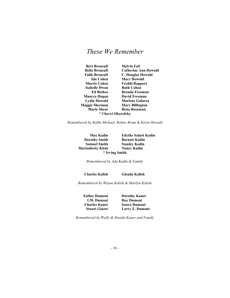Bert Bronzaft Melvin Feil Bella Bronzaft Catherine Ann Howald Falik Bronzaft C. Douglas Howald Ida Cohen Mary Howald Morris Cohen Freddi Rapport Isabelle Dwan Ruth Cohen Ed Bethea Brenda Freeman Maurya Hogan David Freeman Lydia Howald Marlene Galarza Maggie Sherman Mary Billington Marie Shear Rena Roseman \* Cheryl Okorofsky

Remembered by Rabbi Michael, Robin, Brian & Kevin Howald

Dorothy Smith Barnett Kadin Samuel Smith Stanley Kadin Marionbetty Klein Nancy Kadin \* Irving Smith

Max Kadin Edythe Schott Kadin

Remembered by Ada Kadin & Family

Charles Kalish Glenda Kalish

Remembered by Wayne Kalish & Marilyn Kalish

Esther Dumont Dorothy Kaner I.M. Dumont Roy Dumont **Charles Kaner** Sonya Dumont<br>Stuart Glazer Larry E. Dumo Larry E. Dumont

Remembered by Wally & Davida Kaner and Family

- 16 -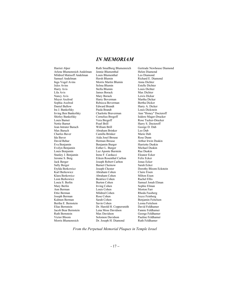Harriet Alper Ruth Smallberg Blumenreich Gertrude Newhouse Diamond Arlene Blumenreich Andelman Jennie Blumenthal Helen Diamond<br>Mildred Matisoff Andelman Louis Blumenthal Leo Diamond Mildred Matisoff Andelman Louis Blumenthal<br>Samuel Andelman Hersh Blumin Inga Vogel Avins Morris Martin Blumin Anna Dichter Jules Avins Selma Blumin Estelle Dichter Harry Avis Stella Blumin Louis Dichter Nancy Avis **Mary Borack** Lewis Dickar<br>
Meyer Axelrod **Harry Boverman** Martha Dickar Meyer Axelrod Harry Boverman Sophia Axelrod Rebecca Boverman Bertha Dicker Daniel Ballow Edward Brandt Harry A. Dicker Irving Ben Bankofsky Charlotte Braverman Ann "Honey" Docteroff Shirley Bankofsky Cornelius Bregoff Isidore Mager-Drucker Louis Barnet Vera Bregoff Rose Tucker-Drucker<br>
Rose Tucker-Drucker<br>
Rearl Brill Harry S. Docteroff Jean Intrater Baruch William Brill George D. Dub Max Baruch Abraham Brinker Leo Dub Ida Baver Aida Josel Brouse Rose Dunn David Behar Herman Brouse Arthur Irwin Duskin Evelyn Benjamin Esther L. Burger Michael Duskin Louis Benjamin Luz Aponte Burstein Stanley J. Benjamin Irene F. Carducci Eleanor Ecker<br>
Jerome S. Berg Eleen Rosenthal Carlton Felix Ecker Jack Berger Joseph Robert Carlton Jonas Ecker Etylda Berkowicz Joseph Chester Dorothy Bloom Eckstein Klara Berkowicz Abraham Cohen Milton Eisen Leon Berkowicz<br>
Louia S. Berlin Burton Cohen<br>
Burton Cohen Louia S. Berlin Burton Cohen Samuel Jonah Elman Ann Berman Louis Cohen Morton Farr Ettie Berman Mildred Cohen Rhoda Fassberg Joseph Berman Rose Cohen Joyce Feinberg Kalmen Berman Sarah Cohen Benjamin Feitelson Bertha E. Bernstein Savin Cohen Leona Feitelson Elias Bernstein Dr. Harold H. Coppersmith David Feldhamer Jacob Bear Bernstein Lena Moss Davidson<br>
Ruth Bernstein Max Davidson Ruth Bernstein Max Davidson George Feldhamer Victor Bloom Solomon Davidson Pauline Feldhamer

James Borack Paula Brandt Louis Dickstein Camilla Brinker Benjamin Burger Eileen Rosenthal Carlton Barnet Chernow Abraham Cohen Dr. Joseph H. Diamond

Richard E. Diamond Harry S. Docteroff Sophie Elman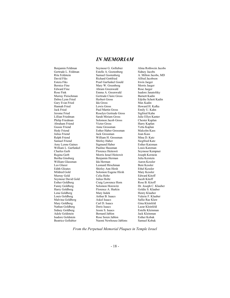Abraham Friend Ralph Friend William H. Grossman Amy Lynne Gaines Esther Goldberg Craig Lawrence Horn<br>Fanny Goldberg Solomon Horowitz Lena Goldberg Mary Indek Adele Goldstein Bernard Jablon<br>
Isadore Goldstein Rose Soren Jablon

Benjamin Feldman Seymour G. Gollubier Alma Rothwein Jacobs<br>Gertrude L. Feldman Steelle A. Gootenberg Sidney Jacobs Estelle A. Gootenberg Sidney Jacobs Rita Feldstein Samuel Gootenberg A. Milton Jacobs, MD<br>
David Fiks Richard Gottfried Alfred Jacobson Richard Gottfried Estera Fiks Pearl Garfunkel Gould Irwin Jaeger Bernice Fine Mary W. Greenberg Morris Jaeger Edward Fine **Abram Greenwald** Rose Jaeger<br>
Rose Fink **Rose Command Rose Search Abram A.** Greenwald Isadore Janatofsky Emma A. Greenwald Murray Fleischman Gertrude Claire Gross Barnett Kadin Gary Evan Fried Ida Gross Max Kadin Jack Fried Paul Martin Gross Emily U. Kahn Jerome Fried **Roselyn Gertrude Gross** Sigfried Kahn<br>
Lillian Friedman Sarah Miriam Gross — Julie Ellyn Kai Lillian Friedman Sarah Miriam Gross Julie Ellyn Kanter Philip Friedman Solomon Jacob Gross Chester Kaplan Chester Kaplan Solomon Solomon Solomon Solomon Solomon Solomon Solomon Solomon Solomon Solomon Solomon Solomon Solomon Solomon Solomon Solomon Solomon Solomon Solomon Solo Gussie Friend **Anne Grossman** Yetta Kaplan<br>
Hedy Friend Esther Haber Grossman Malcolm Kass Hedy Friend Esther Haber Grossman Malcolm K<br>
Julius Friend Jack Grossman Joan Kass Jack Grossman Joan Kass<br>William H. Grossman Mina D. Katz Samuel Friend Shirley Haber Siegfried Katz<br>
Sigmund Haber Simmer Shirley Haber Sieher Katzman William L. Garfunkel Pauline Hausman Pauline Hausman<br>Charles Gerb Permee Heitowit Permour Kemp Charles Gerb Florence Heitowit Seymour Kempner Regina Gerb Morris Israel Heitowit Joseph Kerstein Benjamin Herman William Glassman Ida Herman Ida Herman Aaron Kessler<br>Leo Glazer I Leonard Hirschman Beni Kessler Leonard Hirschman Edith Gloates Shirley Ann Hirsh Ethel Kessler<br>Mildred Gold Solomon Eugene Hirsh Mary Kessler Solomon Eugene Hirsh Murray Gold Celia Holtz Edward Kitoff Seymour David Gold Julius Holtz Jacob Kitoff<br>
1991 - Craig Lawrence Horn Rose B. Kitoff Harry Goldberg Florence A. Hurkin Goldie S. Klauber<br>1991 - Lena Goldberg Mary Indek Goldie S. Klauber Louis Goldberg Arthur B. Isaacs Valerie F. Klauber Malvina Goldberg Askel Isaacs Sallie Rae Klaw Mary Goldberg Carl D. Isaacs Gina Kleinfeld Nathan Goldberg Doris Isaacs Lazar Kleinfeld Sidney Goldberg **Jessie S. Isaacs** Estelle Kleinman<br>
Adele Goldstein **Bernard Jablon** Jack Kleinman Isadore Goldstein **Isablon** Rose Soren Jablon **Esther Kobak**<br>
Reatrice Gollubier **Naomi Newhouse Jablons** Samuel Kobak Naomi Newhouse Jablons

Edythe Schott Kadin Howard H. Kafka Dr. Joseph C. Klauber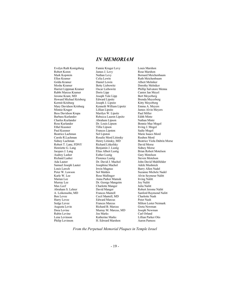Evelyn Ruth Konigsberg Fannie Kruger Levy Louis Marshon Robert Koren **James J. Levy** Rose Marshon Mark Kopstein Nathan Levy Bernard Meichenbaum Golda Kramer Daniel Lewin Albert Melniker Moshe Kramer Betty Liebowitz Dorothy Melniker Harriet Lippman Kramer Coscar Liebowitz Phillip Salvatore Menna<br>
Rabbi Marcus Kramer Doris Lipp Cantor Jan Mevel Rabbi Marcus Kramer Jerome Krant, MD Joseph Yale Lipp Bert Meyerberg<br>
Howard Michael Krisberg Edward Lipsitz Brenda Meyerberg Howard Michael Krisberg Kermit Krisburg Joseph J. Lipsitz Kitty Meyerberg Minnie Kruger Lillian Lipsitz James Alvin Meyers Bess Davidson Krupa Marilyn W. Lipsitz Paul Miller<br>
Rebecca Lauren Lipsitz Fdith Mintz Barbara Kurlander Rebecca Lauren Lipsitz Edith Mintz Charles Kurlander Abraham Lipson Nathan Mintz Ethel Kussner Tillie Lipson Irving J. Mogol Paul Kussner Frances Lipston<br>Beatrice Lachman Sol Lipston Carole R.Lachman Rosalie Mord Litinsky Reuben Mord Robert T. Lane, FDNY Henriette G. Lang Benjamin J. Lustig Sidney Morse<br>
Jacques J. Lang Elias Albert Lustig Brian Robert N Audrey Lasher Esther Lustig Cary Motelson<br>
Richard Lasher Florence Lustig Steven Motelson<br>
Florence Lustig Steven Motelson Ada Lauter Dr. David J. Machol John David Muhlfelder Samuel Joseph Lauter Josephine Mac<br>Louis Lawch Magnus Louis Lawch **Irwin Magnus** Barry Allen Nadel<br>1991 - Peter W. Lawson **III Superversion Superversion Communisty** Superversion Suzanne Michele Karle W. Lee **Rose Mallinger** Alvin Seymour Nalitt<br>
Marian Lee **Anna Parker Mamok** Arving Nalitt Murray Lee Dr. George Mangeim Joy Nalitt Abraham S. Lehrer David Manger Robert Jerome Nalitt A. Leikensohn, MD Frances Mantell Sanford Raymond Nalitt Ben Levee Cecil Mantell, MD Charlotte Nash Harry Levee Edward Marcus Peter Nash Sedge Levee Frances Marcus Milton Lester Neimark Augusta Levin Richard B. Marcus Greta Newman Rubin Levine Lena Levinson Katherine Marks Lillian Parker Otis

Kenneth William Lipsitz Anna Parker Mamok Irving Nal<br>
Dr. George Mangeim Ioy Nalitt Charlotte Manger Murray M. Marcus, MD Joseph Newman<br>Jose Marks Carl Orland H. Edward Marshon

Ruth Meichenbaum Bonnie Mae Mogol Marie Isaacs Mord Sidney Lachman Henry Litinsky, MD<br>
Robert T. Lane, FDNY Richard Litkofsky David Morse Brian Robert Motelson Steven Motelson Suzanne Michele Nadel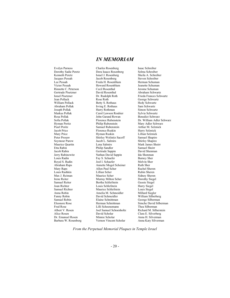Rinnette C. Peterson Cecil Rosenthal<br>Gertrude Pisetzner David Rosenthal Rosa Pollak John Garand Rowan<br>Sofia Pollak Schwarz Benedict Schwarz Benedict Schwarz Schwarz Schwarz Schwarz Schwarz Schwarz Schwarz Schwarz Louis Rashkin

Evelyn Parness Charles Rosenberg Isaac Schreiber<br>
Dorothy Sadie Peretz Dora Isaacs Rosenberg Selma Schreibe Dora Isaacs Rosenberg Selma Schreiber Kenneth Peretz Israel J. Rosenberg Sheila A. Schreiber<br>
Jacob Rosenberg Steven Schreiber<br>
Steven Schreiber Jacob Rosenberg Lee Pessah Freda H. Rosenblum Herman Schuman Victor Pessah Howard Rosenblum Jeanette Schuman Gertrude Pisetzner David Rosenthal Abraham Schwartz Israel Pisetzner Dr. Rudolph Roth Frieda Frances Schwartz Rose Roth George Schwartz William Pollack Betty S. Rothaus Betty Schwartz<br>Abraham Pollak Irving E. Rothaus Sam Schwartz Irving E. Rothaus Joseph Pollak Harry Rothman Simon Schwartz Markus Pollak Carol Lawson Rouhier Sylvia Schwartz Pearl Poritz Samuel Rubenstein Arthur M. Selznick<br>
Jacob Price Florence Ruskin Harry Selznick Jacob Price Florence Ruskin Harry Selznick<br>
Mary Price Hyman Ruskin Lillian Selznick Peter Prosaw Shirley Wolinitz Sacoff Seymour Purow Jacob L. Salmirs Shirley Shapiro Etta Rabin Philip Sandler Samuel Sheirr Gertrude Sappin Jerry Rabinowitz<br>
Louis Radin<br>
Louis Radin<br>
Louis Radin<br>
Capper Shenman<br>
Capper Shenman<br>
Capper Shenman<br>
Capper Shenman<br>
Capper Shenman<br>
Capper Shenman<br>
Capper Shenman<br>
Capper Shenman<br>
Capper Shenman<br>
Capper Shenman<br>
Cappe Fay S. Schaefer Royal S. Radin Joel I. Schaefer Melvin Sher Annette Mogol Scheiner Mary Raps **Allen Paul Scher Franch Rachel Sheren**<br>1991 - Lillian Scher Franch Rubin Sheren Max J. Reiman Maurice Scher Sidney Sheren<br>
Irene Reiter Murray Milton Scher Sidney Siegel Murray Milton Scher Samuel Reiter Bertha Schlefstein Gussie Siegel<br>
Joan Richter Louis Schlefstein Harry Siegel Louis Schlefstein Samuel Richter Maurice Schlefstein Louis Siegel Anna Robin Amelia M. Schmeidler Millard Siegler Fanny Robin David Schmeidler William Silberberg Samuel Robin Elaine Schnittman George Silberman Fred Rose Lilli Schoenemann<br>Albert V. Rosen Joel Samuel Schoenholtz Richard M. Silberstein Joel Samuel Schoenholtz<br>David Scholar Alice Rosen David Scholar Clara E. Silverberg Dr. Emanuel Rosen Minnie Scholar Anna H. Silverman<br>19 Marbara W. Rosenberg Vernon Vincent Scholar Anna Katy Silverman Vernon Vincent Scholar

Sofia Pollak Florence Rubenstein Dr. William Adler Schwarz<br>Hyman Poritz Philip Rubenstein Mary Adler Schwarz Mary Adler Schwarz Lillian Selznick<br>Samuel Shapiro Mark James Sheirr Eleonore Rose Herman Schnittman Simche David Silberman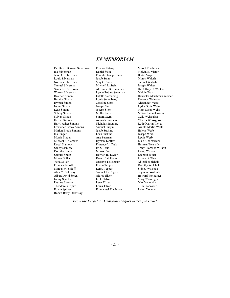Dr. David Bernard Silverman Emanuel Stang Muriel Trachman Ida Silverman **Daniel Stein** Melvin B. Victor Jesse G. Silverman Franklin Joseph Stein Bertel Vogel<br>
Louis Silverman Jacob Stein Myron Walash Louis Silverman Norman Silverman May G. Stein Samuel Walash<br>
Samuel Silverman Mitchell R. Stein Joseph Walter Samuel Silverman Mitchell R. Stein January 2014<br>Sarah Lee Silverman Alexander R. Steinman Sarah Lee Silverman Alexander R. Steinman Dr. Jeffrey C. Walters Hyman Simon Caroline Stern Alexander Weiss<br>
Irving Simon Joseph Stern Lydia Doris Weis Irving Simon Joseph Stern Lydia Doris Weiss<br>Leah Simon Joseph Stern Mary Sachs Weiss Sidney Simon Mollie Stern Milton Samuel Weiss<br>
Sylvan Simon Sondra Stern Celia Weissglass Sylvan Simon Sondra Stern Celia Weissglass<br>
Harriet Simons Augusta Straniere Charles Weissgla Harriet Simons Augusta Straniere Charles Weissglass Lawrence Brook Simons Samuel Surpin Arnold Martin Wells Marian Brook Simons Jacob Suskind Helene Werb Ida Singer Leah Suskind Joseph Werb Morris Singer Ane Sussman Michael S. Slamow Hyman Tantleff Elsie S. Wetschler<br>
Royal Slamow Florence V. Taub Herman Wetschler Sandy Slamow Ira S. Taub Tracy Florence Wilhoit<br>
Dorothy Smith Morris Taub Irving Wilpon Dorothy Smith Samuel Smith **Harriett R. Taylor Leonard Winer Morris Soller Diane Teitelbaum Lillian B. Winer** Yetta Soller Gustave Teitelbaum Abigail Wolchok Marcus M. Soloff Leroy Tepper Sidney Wolchok<br>
Alan M. Soloway Samuel Ira Tepper Seymour Wolinitz Albert David Soren Gloria Tilzer Howard Wolodiger<br>
Ira L. Tilzer Howard Wolodiger<br>
Howard Wolodiger Pauline Spector Lena Tilzer Max Yanowitz<br>
Theodore R. Spiro Louis Tilzer Tillie Yanowitz Theodore R. Spiro Edwin Spitzer **Emmanuel Trachman** Irving Younger Robert Barry Stakofsky

Lynne Robins Steinman Joseph Stern Mary Sachs Weiss Nicholas Straniere Leah Suskind<br>
Ane Sussman<br>
Lewis Werb Diane Teitelbaum Samuel Ira Tepper Ira L. Tilzer Mary Wolodiger<br>
Lena Tilzer Max Yanowitz

Beatrice Simon Estelle Sterenberg Henrietta Gleichman Weiner<br>Bernice Simon Louis Sterenberg Florence Weinsten Florence Weinsten Herman Wetschler Dorothy Wolchok<br>Sidney Wolchok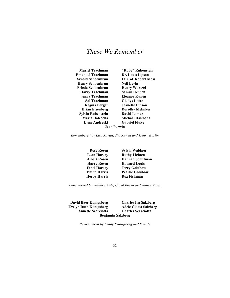Muriel Trachman "Rube" Rubenstein Emanuel Trachman Dr. Louis Lipson Arnold Schoenbrun Lt. Col. Robert Moss Henry Schoenbrun Neil Levin Frieda Schoenbrun Henry Wurtzel Harry Trachman Samuel Kunen Anna Trachman Eleanor Kunen Sol Trachman Gladys Litter Regina Berger Jeanette Lipson Brian Eisenberg Dorothy Melniker Sylvia Rubenstein David Lomax Maria DaRocha Michael DaRocha Lynn Andreski Gabriel Fluke Jean Perwin

Remembered by Lisa Karlin, Jim Kunen and Henry Karlin

Rose Rosen Sylvia Waldner Leon Harary Ruthy Lichten Albert Rosen Hannah Schiffman Harry Rosen Howard Louis Ethel Harary Jerry Golubow Philip Harris Pearlie Golubow Herby Harris Roz Fishman

Remembered by Wallace Katz, Carol Rosen and Janice Rosen

David Baer Konigsberg Charles Ira Salzberg Evelyn Ruth Konigsberg Adele Gloria Salzberg Annette Scarciotta Charles Scarciotta Benjamin Salzberg

Remembered by Lenny Konigsberg and Family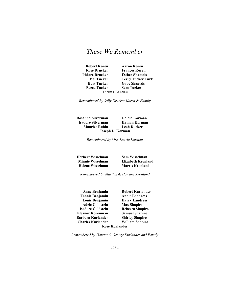Becca Tucker Sam Tucker Thelma Landau

Robert Koren Aaron Koren Rose Drucker Frances Koren Isidore Drucker Esther Shantzis Mel Tucker Terry Tucker Turk Burt Tucker Gabe Shantzis

Remembered by Sally Drucker Koren & Family

Rosalind Silverman Goldie Korman Isadore Silverman Hyman Korman Maurice Rubin Leah Ducker Joseph D. Korman

Remembered by Mrs. Laurie Korman

Herbert Wisselman Sam Wisselman

**Elizabeth Kronland** Helene Wisselman Morris Kronland

Remembered by Marilyn & Howard Kronland

Anne Benjamin Robert Kurlander Fannie Benjamin Annie Landress Louis Benjamin Harry Landress Adele Goldstein Max Shapiro Isadore Goldstein Rebecca Shapiro Eleanor Korenman Samuel Shapiro Barbara Kurlander Shirley Shapiro Charles Kurlander William Shapiro Rose Kurlander

Remembered by Harriet & George Kurlander and Family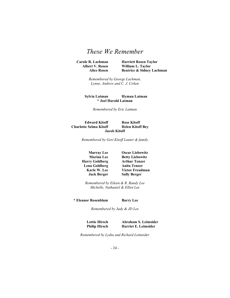Carole R. Lachman Harriett Rosen Taylor Albert V. Rosen William L. Taylor Alice Rosen Beatrice & Sidney Lachman

> Remembered by George Lachman, Lynne, Andrew and C. J. Cohen

Sylvia Latman Hyman Latman \* Joel Harold Latman

Remembered by Eric Latman

Edward Kitoff Rose Kitoff Charlotte Selma Kitoff Helen Kitoff Bey Jacob Kitoff

Remembered by Geri Kitoff Lauter & family

Harry Goldberg Lena Goldberg Anita Tenzer

Murray Lee Oscar Liebowitz **Marian Lee Betty Liebowitz<br>
ry Goldberg Arthur Tenzer** Karle W. Lee Victor Freudman Jack Berger Sally Berger

Remembered by Eileen & R. Randy Lee Michelle, Nathaniel & Elliot Lee

\* Eleanor Rosenblum Barry Lee

Remembered by Judy & JD Lee

Lottie Hirsch Abraham S. Leimsider Philip Hirsch Harriet E. Leimsider

Remembered by Lydia and Richard Leimsider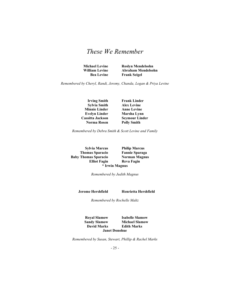Michael Levine Roslyn Mendelsohn William Levine Abraham Mendelsohn Bea Levine Frank Seigel

Remembered by Cheryl, Randi, Jeremy, Chanda, Logan & Priya Levine

Sylvia Smith Alex Levine Minnie Linder Anne Levine Evelyn Linder Marsha Lynn Cassitta Jackson Seymour Linder Norma Rosen Polly Smith

Irving Smith Frank Linder

Remembered by Debra Smith & Scott Levine and Family

Sylvia Marcus Philip Marcus Thomas Sparacio Fannie Sparaga Baby Thomas Sparacio Norman Magnus<br>Elliot Fagin Reva Fagin \* Irwin Magnus

Reva Fagin

Remembered by Judith Magnus

Jerome Hershfield Henrietta Hershfield

Remembered by Rochelle Maltz

Royal Slamow Isabelle Slamow<br>Sandy Slamow Michael Slamow **Michael Slamow** David Marks Edith Marks Janet Donohue

Remembered by Susan, Stewart, Phillip & Rachel Marks

- 25 -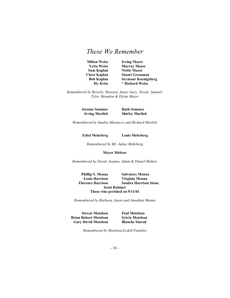Milton Weiss Irving Mazer Yetta Weiss Murray Mazer Sam Kaplan Nettie Mazer Clara Kaplan Stuart Grossman Bob Kaplan Seymour Koenigsberg Hy Kriss \* Richard Weiss

Remembered by Beverly, Howard, Janet, Gary, Nicole, Samuel, Tyler, Brandon & Dylan Mazer

> Jerome Sommer Ruth Sommer Irving Marlieb Shirley Marlieb

Remembered by Sandra Mazzucco and Richard Marlieb

Ethel Mehrberg Louis Mehrberg

Remembered by Mr. Julius Mehrberg

#### Meyer Meltzer

Remembered by David, Joanna, Adam & Daniel Meltzer

Phillip S. Menna Salvatore Menna Louis Harrison Virginia Menna Florence Harrison Sandra Harrison Stone Scott Rabiner Those who perished on 9/11/01

Remembered by Barbara, Jason and Jonathan Menna

Steven Motelson Paul Motelson Brian Robert Motelson Sylvia Motelson Gary David Motelson Blanche Sinrod

Remembered by Motelson/Lydell Families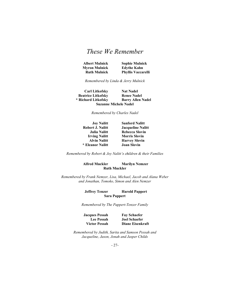| <b>Albert Mulnick</b> | <b>Sophie Mulnick</b>     |
|-----------------------|---------------------------|
| Myron Mulnick         | <b>Edythe Kahn</b>        |
| <b>Ruth Mulnick</b>   | <b>Phyllis Vaccarelli</b> |

Remembered by Linda & Jerry Mulnick

Carl Litkofsky Nat Nadel Beatrice Litkofsky Renee Nadel \* Richard Litkofsky Barry Allen Nadel Suzanne Michele Nadel

Remembered by Charles Nadel

| Joy Nalitt              |
|-------------------------|
| <b>Robert J. Nalitt</b> |
| <b>Julia Nalitt</b>     |
| <b>Irving Nalitt</b>    |
| <b>Alvin Nalitt</b>     |
| * Eleanor Nalitt        |

*I* Nalitt Sanford Nalitt Jacqueline Nalitt Rebecca Slovin **Morris Slovin Harvey Slovin** Joan Slovin

Remembered by Robert & Joy Nalitt's children  $\&$  their Families

#### Alfred Muckler Marilyn Nemzer Ruth Muckler

Remembered by Frank Nemzer, Lisa, Michael, Jacob and Alana Weber and Jonathan, Tomoko, Simon and Alen Nemzer

#### Jeffrey Tenzer Harold Pappert Sara Pappert

Remembered by The Pappert-Tenzer Family

Jacques Pessah Fay Schaefer

Lee Pessah Joel Schaefer Victor Pessah Diane Eisenkraft

Remembered by Judith, Sarita and Samson Pessah and Jacqueline, Jason, Jonah and Jasper Childs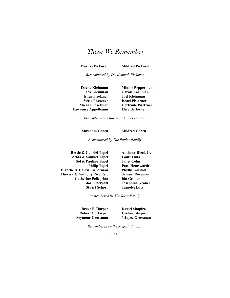Murray Pickover Mildred Pickover

Remembered by Dr. Kenneth Pickover

Ellen Pisetzner Joel Kleinman Yetta Pisetzner Israel Pisetzner Lawrence Appelbaum Elise Berkower

Estelle Kleinman Minnie Pepperman Jack Kleinman Carole Lachman Michael Pisetzner Gertrude Pisetzner

Remembered by Barbara & Ira Pisetzner

Abraham Cohen Mildred Cohen

Remembered by The Popler Family

Bessie & Gabriel Topel Anthony Ricci, Jr. Zelda & Samuel Topel Louis Luna Sol & Pauline Topel Blanche & Harris Lieberman Phyllis Kolstad Theresa & Anthony Ricci, Sr. Samuel Roseman Catherine Pellegrino Ida Grober

Philip Topel Patti Hemsworth Joel Chernoff Josephine Grober Stuart Schorr Jeanette Daly

Remembered by The Ricci Family

Bruce P. Harper Daniel Shapiro Robert C. Harper Evelina Shapiro Seymour Grossman \* Joyce Grossman

Remembered by the Rogozin Family

- 28-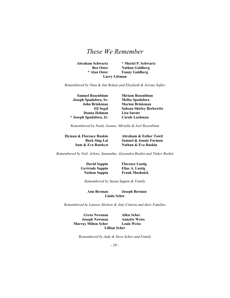Abraham Schwartz \* Muriel P. Schwartz Bea Oster Nathan Goldberg<br>
\* Alan Oster Fanny Goldberg **Fanny Goldberg** Larry Littman

Remembered by Nina & Jim Rohan and Elizabeth & Jereme Safier

Samuel Rosenblum Miriam Rosenblum Joseph Spadafora, Sr. Melba Spadafora John Brinkman Marion Brinkman Eli Segal Sabena Shirley Berkowitz Donna Holman Lisa Suratt \* Joseph Spadafora, Jr. Carole Lachman

Remembered by Noah, Joanne, Miriella & Joel Rosenblum

Hyman & Florence Ruskin Abraham & Esther Tawil

Buck Sing Lai Samuel & Jennie Forman Sam & Eva Rutskyn Nathan & Eva Ruskin

Remembered by Neil, Arlene, Samantha, Alexandra Ruskin and Tinker Ruskin

David Sappin Florence Lustig Gertrude Sappin Elias A. Lustig

Nathan Sappin Frank Mushnick

Remembered by Susan Sappin & Family

Ann Berman Joseph Berman Linda Scher

Remembered by Lauren Abelson & Amy Cintron and their Families

Greta Newman Allen Scher Joseph Newman Annette Weiss Murray Milton Scher Louis Weiss Lillian Scher

Remembered by Judy & Steve Scher and Family

- 29 -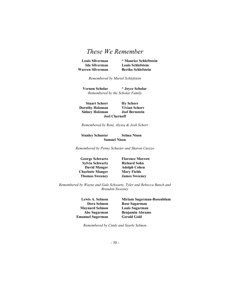Warren Silverman Bertha Schlefstein

Louis Silverman \* Maurice Schleftstein Ida Silverman Louis Schlefstein

Remembered by Muriel Schlefstein

Vernon Scholar \* Joyce Scholar Remembered by the Scholar Family

Stuart Schorr<br>
Stuart Schorr<br>
The Wivian Schorr<br>
The Wivian Schorr **Dorothy Holzman** Vivian Schorr<br>
Sidney Holzman Joel Bernstein Sidney Holzman Joel Chernoff

Remembered by Roni, Alyssa & Josh Schorr

Stanley Schuster Selma Nison Samuel Nison

Remembered by Penny Schuster and Sharon Cuozzo

Sylvia Schwartz Richard Sohn David Manger Adolph Cohen Charlotte Manger Mary Fields Thomas Sweeney James Sweeney

George Schwartz Florence Morrow

Remembered by Wayne and Gale Schwartz, Tyler and Rebecca Bunch and Brandon Sweeney

> Maynard Selmon Louis Sugarman Emanuel Sugerman Gerald Gold

Lewis A. Selmon Miriam Sugerman-Rosenblum Dora Selmon Rose Sugarman Abe Sugarman Benjamin Abrams

Remembered by Cindy and Searle Selmon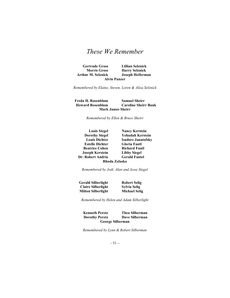Gertrude Gross Lillian Selznick Morris Gross Harry Selznick Arthur M. Selznick Joseph Heiferman Alvin Panzer

Remembered by Elaine, Steven, Loren & Aliza Selznick

Freda H. Rosenblum Samuel Sheirr Howard Rosenblum Caroline Sheirr Bank Mark James Sheirr

Remembered by Ellen & Bruce Sheirr

| <b>Louis Siegel</b>    | <b>Nancy Kerstein</b>     |
|------------------------|---------------------------|
| <b>Dorothy Siegel</b>  | Yehudah Kerstein          |
| <b>Louis Dichter</b>   | <b>Isadore Janatofsky</b> |
| <b>Estelle Dichter</b> | <b>Gloria Fantl</b>       |
| <b>Beatrice Cohen</b>  | <b>Richard Fantl</b>      |
| <b>Joseph Kerstein</b> | <b>Libby Siegel</b>       |
| Dr. Robert Andria      | <b>Gerald Fantel</b>      |
| Rhoda Zelasko          |                           |

Remembered by Jodi, Alan and Jesse Siegel

| <b>Gerald Silberlight</b> | <b>Robert Selig</b>  |
|---------------------------|----------------------|
| <b>Claire Silberlight</b> | Sylvia Selig         |
| <b>Milton Silberlight</b> | <b>Michael Selig</b> |

Remembered by Helen and Adam Silberlight

Kenneth Peretz Thea Silberman Dorothy Peretz Dave Silberman George Silberman

Remembered by Lynn & Robert Silberman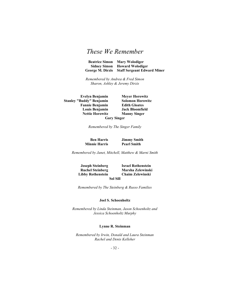Beatrice Simon Mary Wolodiger Sidney Simon Howard Wolodiger George M. Dirzis Staff Sergeant Edward Miner

Remembered by Andrea & Fred Simon Sharon, Ashley & Jeremy Dirzis

Stanley "Buddy" Benjamin Solomon Horowitz Fannie Benjamin Edith Gloates Louis Benjamin Jack Bloomfield Nettie Horowitz Manny Singer Gary Singer

Evelyn Benjamin Meyer Horowitz

Remembered by The Singer Family

Ben Harris Jimmy Smith Minnie Harris Pearl Smith

Remembered by Janet, Mitchell, Matthew & Marni Smith

Joseph Steinberg Israel Rothenstein Ruchel Steinberg Marsha Zelewinski Libby Rothenstein Chaim Zelewinski

Sol Sill

Remembered by The Steinberg & Russo Families

#### Joel S. Schoenholtz

Remembered by Linda Steinman, Jason Schoenholtz and Jessica Schoenholtz Murphy

#### Lynne R. Steinman

Remembered by Irwin, Donald and Laura Steinman Rachel and Denis Kelleher

- 32 -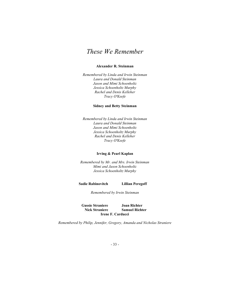### Alexander R. Steinman

Remembered by Linda and Irwin Steinman Laura and Donald Steinman Jason and Mimi Schoenholtz Jessica Schoenholtz Murphy Rachel and Denis Kelleher Tracy O'Keefe

#### Sidney and Betty Steinman

Remembered by Linda and Irwin Steinman Laura and Donald Steinman Jason and Mimi Schoenholtz Jessica Schoenholtz Murphy Rachel and Denis Kelleher Tracy O'Keefe

#### Irving & Pearl Kaplan

Remembered by Mr. and Mrs. Irwin Steinman Mimi and Jason Schoenholtz Jessica Schoenholtz Murphy

Sadie Rabinovitch Lillian Peregoff

Remembered by Irwin Steinman

Gussie Straniere Joan Richter Nick Straniere Samuel Richter Irene F. Carducci

Remembered by Philip, Jennifer, Gregory, Amanda and Nicholas Straniere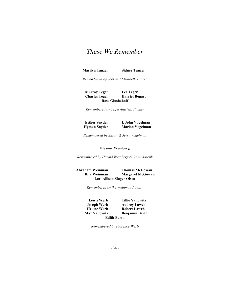Marilyn Tanzer Sidney Tanzer

Remembered by Joel and Elizabeth Tanzer

Murray Teger Lee Teger Charles Teger Harriet Bogart Rose Glushakoff

Remembered by Teger-Bastelli Family

Esther Snyder I. John Vogelman Hyman Snyder Marion Vogelman

Remembered by Susan & Jerry Vogelman

#### Eleanor Weinberg

Remembered by Harold Weinberg & Ronit Joseph

Abraham Weinman Thomas McGowan Rita Weinman Margaret McGowan Lori Allison Singer Olsen

Remembered by the Weinman Family

Lewis Werb Tillie Yanowitz Joseph Werb Audrey Lawch Helene Werb Robert Lawch<br>
Max Yanowitz Benjamin Bart Benjamin Barth Edith Barth

Remembered by Florence Werb